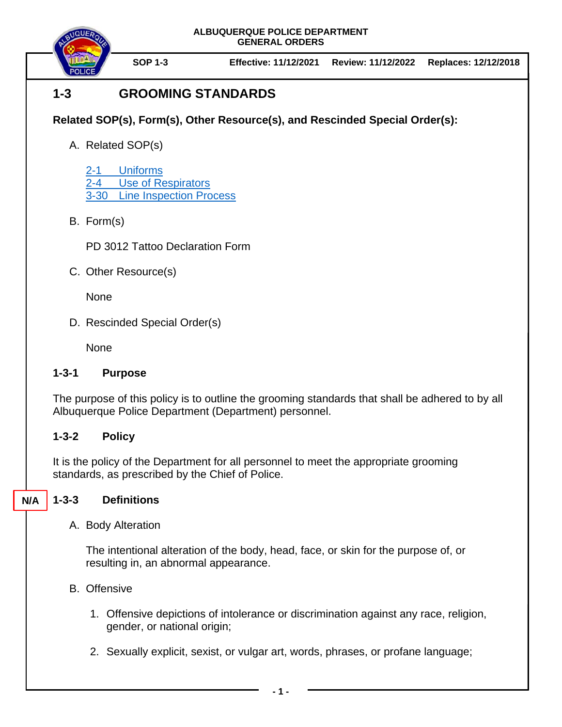

**SOP 1-3 Effective: 11/12/2021 Review: 11/12/2022 Replaces: 12/12/2018**

# **1-3 GROOMING STANDARDS**

## **Related SOP(s), Form(s), Other Resource(s), and Rescinded Special Order(s):**

A. Related SOP(s)

[2-1 Uniforms](https://powerdms.com/docs/84) [2-4 Use of Respirators](https://powerdms.com/docs/1697526) 3-30 [Line Inspection Process](https://powerdms.com/docs/183)

B. Form(s)

PD 3012 Tattoo Declaration Form

C. Other Resource(s)

None

D. Rescinded Special Order(s)

None

### **1-3-1 Purpose**

The purpose of this policy is to outline the grooming standards that shall be adhered to by all Albuquerque Police Department (Department) personnel.

### **1-3-2 Policy**

It is the policy of the Department for all personnel to meet the appropriate grooming standards, as prescribed by the Chief of Police.

#### **1-3-3 Definitions N/A**

A. Body Alteration

The intentional alteration of the body, head, face, or skin for the purpose of, or resulting in, an abnormal appearance.

- B. Offensive
	- 1. Offensive depictions of intolerance or discrimination against any race, religion, gender, or national origin;
	- 2. Sexually explicit, sexist, or vulgar art, words, phrases, or profane language;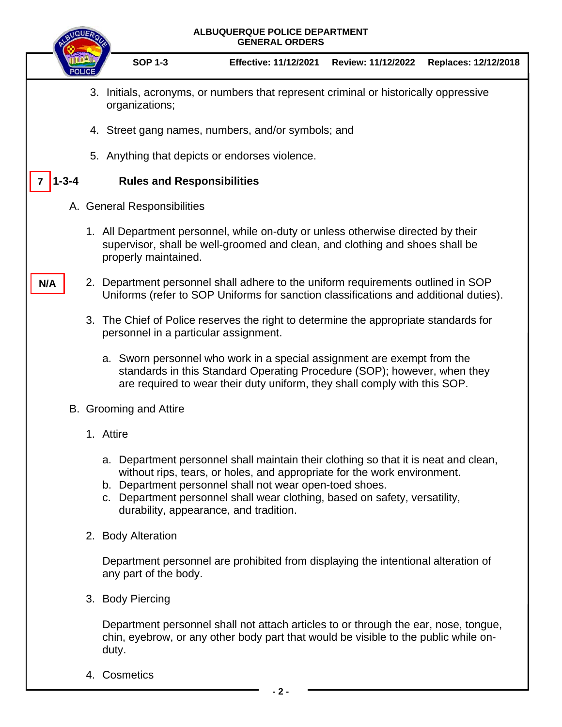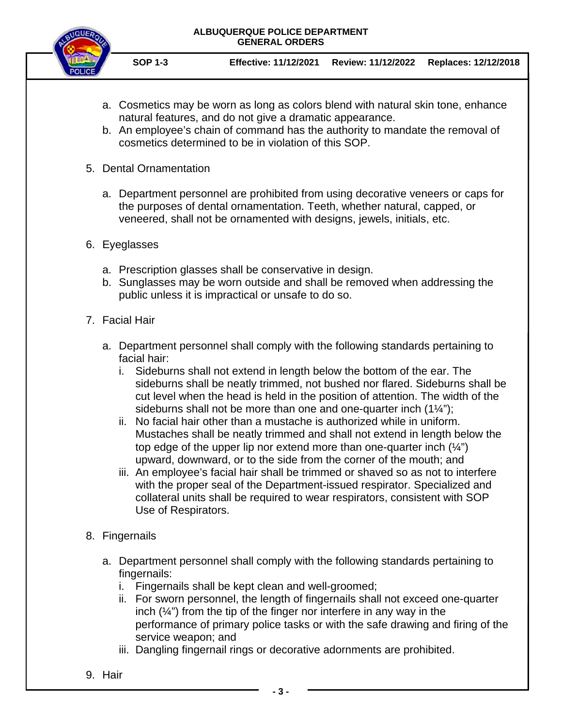

**SOP 1-3 Effective: 11/12/2021 Review: 11/12/2022 Replaces: 12/12/2018**

- a. Cosmetics may be worn as long as colors blend with natural skin tone, enhance natural features, and do not give a dramatic appearance.
- b. An employee's chain of command has the authority to mandate the removal of cosmetics determined to be in violation of this SOP.
- 5. Dental Ornamentation
	- a. Department personnel are prohibited from using decorative veneers or caps for the purposes of dental ornamentation. Teeth, whether natural, capped, or veneered, shall not be ornamented with designs, jewels, initials, etc.
- 6. Eyeglasses
	- a. Prescription glasses shall be conservative in design.
	- b. Sunglasses may be worn outside and shall be removed when addressing the public unless it is impractical or unsafe to do so.
- 7. Facial Hair
	- a. Department personnel shall comply with the following standards pertaining to facial hair:
		- i. Sideburns shall not extend in length below the bottom of the ear. The sideburns shall be neatly trimmed, not bushed nor flared. Sideburns shall be cut level when the head is held in the position of attention. The width of the sideburns shall not be more than one and one-quarter inch  $(1\frac{1}{4})$ ;
		- ii. No facial hair other than a mustache is authorized while in uniform. Mustaches shall be neatly trimmed and shall not extend in length below the top edge of the upper lip nor extend more than one-quarter inch  $(\frac{1}{4})$ upward, downward, or to the side from the corner of the mouth; and
		- iii. An employee's facial hair shall be trimmed or shaved so as not to interfere with the proper seal of the Department-issued respirator. Specialized and collateral units shall be required to wear respirators, consistent with SOP Use of Respirators.
- 8. Fingernails
	- a. Department personnel shall comply with the following standards pertaining to fingernails:
		- i. Fingernails shall be kept clean and well-groomed;
		- ii. For sworn personnel, the length of fingernails shall not exceed one-quarter inch  $(\frac{1}{4})$  from the tip of the finger nor interfere in any way in the performance of primary police tasks or with the safe drawing and firing of the service weapon; and
		- iii. Dangling fingernail rings or decorative adornments are prohibited.
- 9. Hair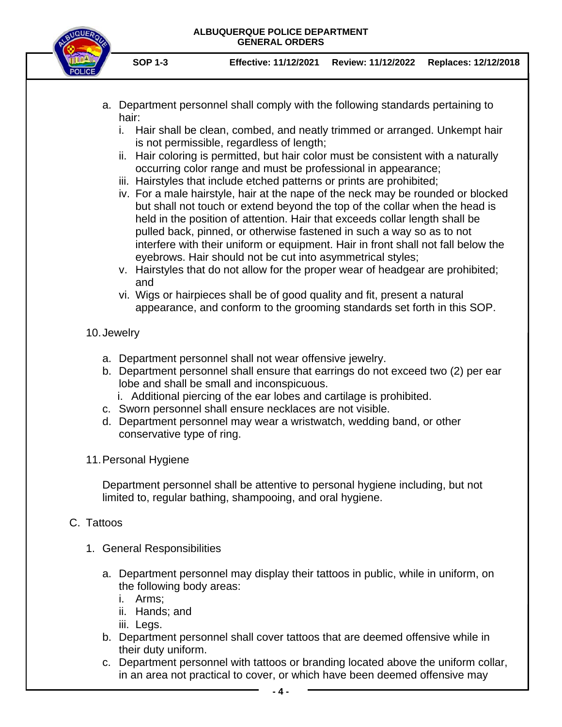

- **SOP 1-3 Effective: 11/12/2021 Review: 11/12/2022 Replaces: 12/12/2018**
- a. Department personnel shall comply with the following standards pertaining to hair:
	- i. Hair shall be clean, combed, and neatly trimmed or arranged. Unkempt hair is not permissible, regardless of length;
	- ii. Hair coloring is permitted, but hair color must be consistent with a naturally occurring color range and must be professional in appearance;
	- iii. Hairstyles that include etched patterns or prints are prohibited;
	- iv. For a male hairstyle, hair at the nape of the neck may be rounded or blocked but shall not touch or extend beyond the top of the collar when the head is held in the position of attention. Hair that exceeds collar length shall be pulled back, pinned, or otherwise fastened in such a way so as to not interfere with their uniform or equipment. Hair in front shall not fall below the eyebrows. Hair should not be cut into asymmetrical styles;
	- v. Hairstyles that do not allow for the proper wear of headgear are prohibited; and
	- vi. Wigs or hairpieces shall be of good quality and fit, present a natural appearance, and conform to the grooming standards set forth in this SOP.

### 10.Jewelry

- a. Department personnel shall not wear offensive jewelry.
- b. Department personnel shall ensure that earrings do not exceed two (2) per ear lobe and shall be small and inconspicuous.
	- i. Additional piercing of the ear lobes and cartilage is prohibited.
- c. Sworn personnel shall ensure necklaces are not visible.
- d. Department personnel may wear a wristwatch, wedding band, or other conservative type of ring.
- 11.Personal Hygiene

Department personnel shall be attentive to personal hygiene including, but not limited to, regular bathing, shampooing, and oral hygiene.

### C. Tattoos

- 1. General Responsibilities
	- a. Department personnel may display their tattoos in public, while in uniform, on the following body areas:
		- i. Arms;
		- ii. Hands; and
		- iii. Legs.
	- b. Department personnel shall cover tattoos that are deemed offensive while in their duty uniform.
	- c. Department personnel with tattoos or branding located above the uniform collar, in an area not practical to cover, or which have been deemed offensive may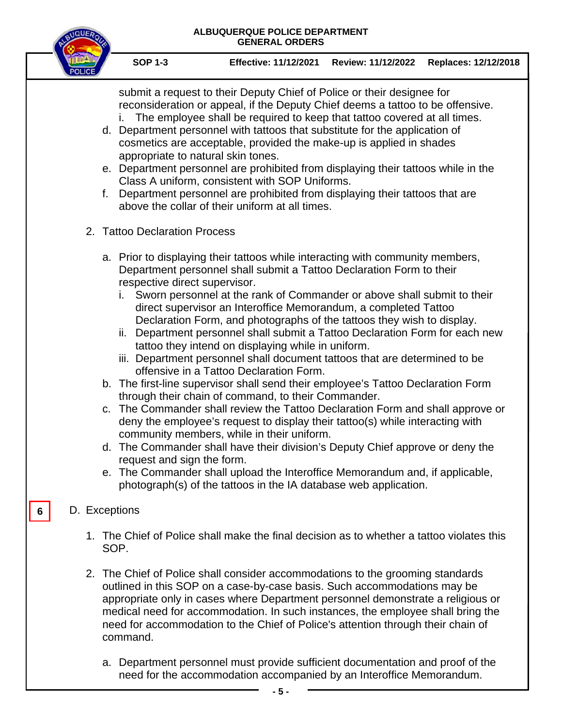submit a request to their Deputy Chief of Police or their designee for reconsideration or appeal, if the Deputy Chief deems a tattoo to be offensive. i. The employee shall be required to keep that tattoo covered at all times.

- d. Department personnel with tattoos that substitute for the application of cosmetics are acceptable, provided the make-up is applied in shades appropriate to natural skin tones.
- e. Department personnel are prohibited from displaying their tattoos while in the Class A uniform, consistent with SOP Uniforms.
- f. Department personnel are prohibited from displaying their tattoos that are above the collar of their uniform at all times.
- 2. Tattoo Declaration Process
	- a. Prior to displaying their tattoos while interacting with community members, Department personnel shall submit a Tattoo Declaration Form to their respective direct supervisor.
		- i. Sworn personnel at the rank of Commander or above shall submit to their direct supervisor an Interoffice Memorandum, a completed Tattoo Declaration Form, and photographs of the tattoos they wish to display.
		- ii. Department personnel shall submit a Tattoo Declaration Form for each new tattoo they intend on displaying while in uniform.
		- iii. Department personnel shall document tattoos that are determined to be offensive in a Tattoo Declaration Form.
	- b. The first-line supervisor shall send their employee's Tattoo Declaration Form through their chain of command, to their Commander.
	- c. The Commander shall review the Tattoo Declaration Form and shall approve or deny the employee's request to display their tattoo(s) while interacting with community members, while in their uniform.
	- d. The Commander shall have their division's Deputy Chief approve or deny the request and sign the form.
	- e. The Commander shall upload the Interoffice Memorandum and, if applicable, photograph(s) of the tattoos in the IA database web application.

### D. Exceptions

**6**

- 1. The Chief of Police shall make the final decision as to whether a tattoo violates this SOP.
- 2. The Chief of Police shall consider accommodations to the grooming standards outlined in this SOP on a case-by-case basis. Such accommodations may be appropriate only in cases where Department personnel demonstrate a religious or medical need for accommodation. In such instances, the employee shall bring the need for accommodation to the Chief of Police's attention through their chain of command.
	- a. Department personnel must provide sufficient documentation and proof of the need for the accommodation accompanied by an Interoffice Memorandum.